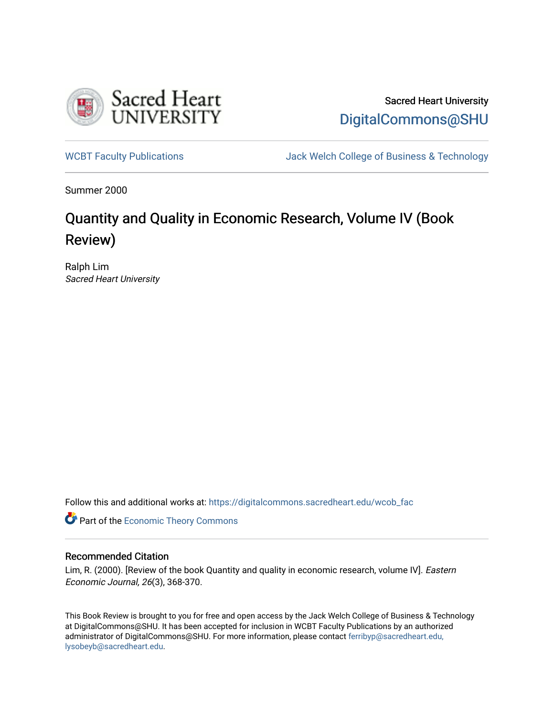

Sacred Heart University [DigitalCommons@SHU](https://digitalcommons.sacredheart.edu/) 

[WCBT Faculty Publications](https://digitalcommons.sacredheart.edu/wcob_fac) **MEGAL STACK Welch College of Business & Technology** 

Summer 2000

## Quantity and Quality in Economic Research, Volume IV (Book Review)

Ralph Lim Sacred Heart University

Follow this and additional works at: [https://digitalcommons.sacredheart.edu/wcob\\_fac](https://digitalcommons.sacredheart.edu/wcob_fac?utm_source=digitalcommons.sacredheart.edu%2Fwcob_fac%2F297&utm_medium=PDF&utm_campaign=PDFCoverPages)

**Part of the [Economic Theory Commons](http://network.bepress.com/hgg/discipline/344?utm_source=digitalcommons.sacredheart.edu%2Fwcob_fac%2F297&utm_medium=PDF&utm_campaign=PDFCoverPages)** 

## Recommended Citation

Lim, R. (2000). [Review of the book Quantity and quality in economic research, volume IV]. Eastern Economic Journal, 26(3), 368-370.

This Book Review is brought to you for free and open access by the Jack Welch College of Business & Technology at DigitalCommons@SHU. It has been accepted for inclusion in WCBT Faculty Publications by an authorized administrator of DigitalCommons@SHU. For more information, please contact [ferribyp@sacredheart.edu,](mailto:ferribyp@sacredheart.edu,%20lysobeyb@sacredheart.edu) [lysobeyb@sacredheart.edu](mailto:ferribyp@sacredheart.edu,%20lysobeyb@sacredheart.edu).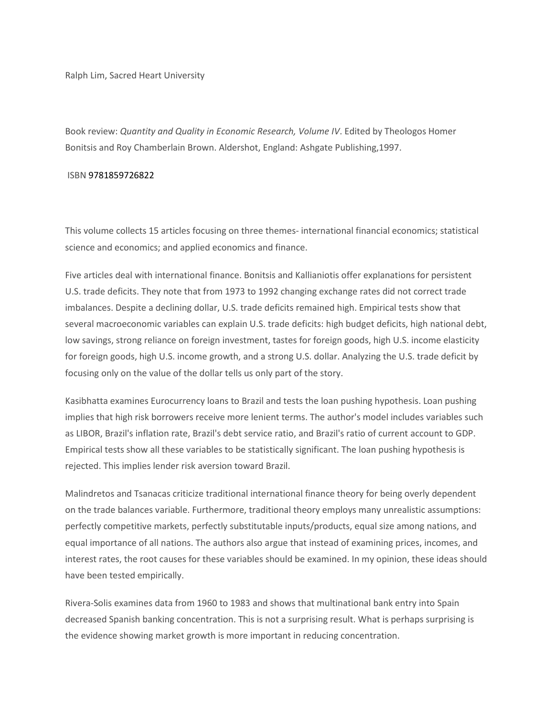Ralph Lim, Sacred Heart University

Book review: Quantity and Quality in Economic Research, Volume IV. Edited by Theologos Homer Bonitsis and Roy Chamberlain Brown. Aldershot, England: Ashgate Publishing,1997.

## ISBN 9781859726822

This volume collects 15 articles focusing on three themes- international financial economics; statistical science and economics; and applied economics and finance.

Five articles deal with international finance. Bonitsis and Kallianiotis offer explanations for persistent U.S. trade deficits. They note that from 1973 to 1992 changing exchange rates did not correct trade imbalances. Despite a declining dollar, U.S. trade deficits remained high. Empirical tests show that several macroeconomic variables can explain U.S. trade deficits: high budget deficits, high national debt, low savings, strong reliance on foreign investment, tastes for foreign goods, high U.S. income elasticity for foreign goods, high U.S. income growth, and a strong U.S. dollar. Analyzing the U.S. trade deficit by focusing only on the value of the dollar tells us only part of the story.

Kasibhatta examines Eurocurrency loans to Brazil and tests the loan pushing hypothesis. Loan pushing implies that high risk borrowers receive more lenient terms. The author's model includes variables such as LIBOR, Brazil's inflation rate, Brazil's debt service ratio, and Brazil's ratio of current account to GDP. Empirical tests show all these variables to be statistically significant. The loan pushing hypothesis is rejected. This implies lender risk aversion toward Brazil.

Malindretos and Tsanacas criticize traditional international finance theory for being overly dependent on the trade balances variable. Furthermore, traditional theory employs many unrealistic assumptions: perfectly competitive markets, perfectly substitutable inputs/products, equal size among nations, and equal importance of all nations. The authors also argue that instead of examining prices, incomes, and interest rates, the root causes for these variables should be examined. In my opinion, these ideas should have been tested empirically.

Rivera-Solis examines data from 1960 to 1983 and shows that multinational bank entry into Spain decreased Spanish banking concentration. This is not a surprising result. What is perhaps surprising is the evidence showing market growth is more important in reducing concentration.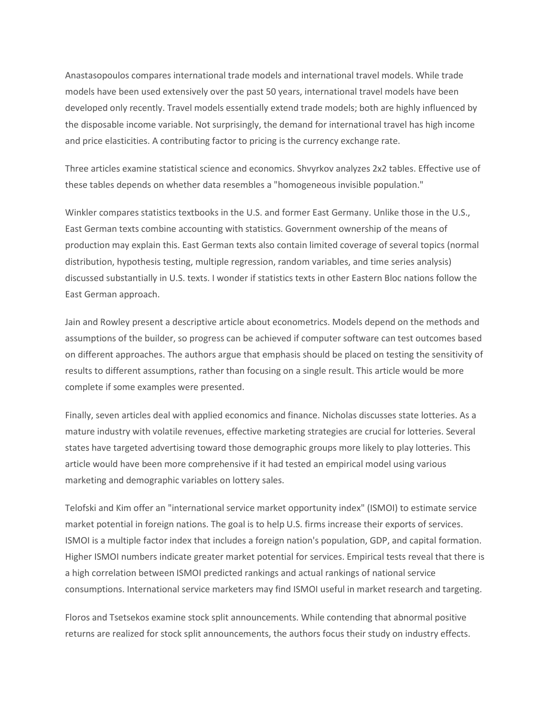Anastasopoulos compares international trade models and international travel models. While trade models have been used extensively over the past 50 years, international travel models have been developed only recently. Travel models essentially extend trade models; both are highly influenced by the disposable income variable. Not surprisingly, the demand for international travel has high income and price elasticities. A contributing factor to pricing is the currency exchange rate.

Three articles examine statistical science and economics. Shvyrkov analyzes 2x2 tables. Effective use of these tables depends on whether data resembles a "homogeneous invisible population."

Winkler compares statistics textbooks in the U.S. and former East Germany. Unlike those in the U.S., East German texts combine accounting with statistics. Government ownership of the means of production may explain this. East German texts also contain limited coverage of several topics (normal distribution, hypothesis testing, multiple regression, random variables, and time series analysis) discussed substantially in U.S. texts. I wonder if statistics texts in other Eastern Bloc nations follow the East German approach.

Jain and Rowley present a descriptive article about econometrics. Models depend on the methods and assumptions of the builder, so progress can be achieved if computer software can test outcomes based on different approaches. The authors argue that emphasis should be placed on testing the sensitivity of results to different assumptions, rather than focusing on a single result. This article would be more complete if some examples were presented.

Finally, seven articles deal with applied economics and finance. Nicholas discusses state lotteries. As a mature industry with volatile revenues, effective marketing strategies are crucial for lotteries. Several states have targeted advertising toward those demographic groups more likely to play lotteries. This article would have been more comprehensive if it had tested an empirical model using various marketing and demographic variables on lottery sales.

Telofski and Kim offer an "international service market opportunity index" (ISMOI) to estimate service market potential in foreign nations. The goal is to help U.S. firms increase their exports of services. ISMOI is a multiple factor index that includes a foreign nation's population, GDP, and capital formation. Higher ISMOI numbers indicate greater market potential for services. Empirical tests reveal that there is a high correlation between ISMOI predicted rankings and actual rankings of national service consumptions. International service marketers may find ISMOI useful in market research and targeting.

Floros and Tsetsekos examine stock split announcements. While contending that abnormal positive returns are realized for stock split announcements, the authors focus their study on industry effects.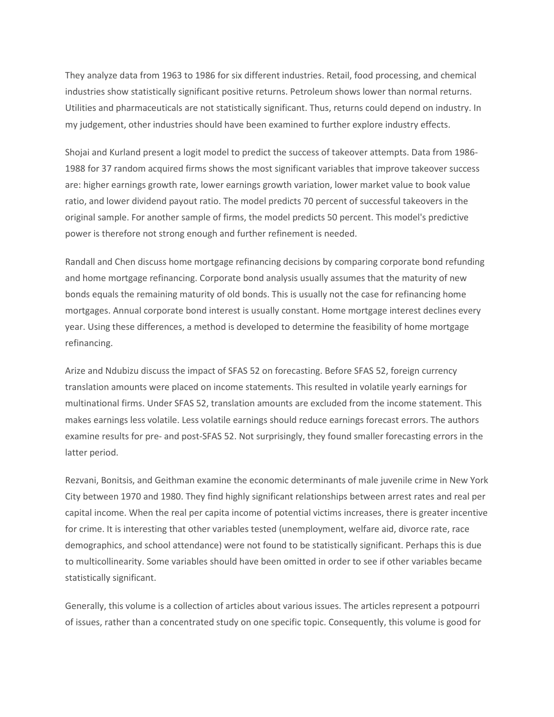They analyze data from 1963 to 1986 for six different industries. Retail, food processing, and chemical industries show statistically significant positive returns. Petroleum shows lower than normal returns. Utilities and pharmaceuticals are not statistically significant. Thus, returns could depend on industry. In my judgement, other industries should have been examined to further explore industry effects.

Shojai and Kurland present a logit model to predict the success of takeover attempts. Data from 1986- 1988 for 37 random acquired firms shows the most significant variables that improve takeover success are: higher earnings growth rate, lower earnings growth variation, lower market value to book value ratio, and lower dividend payout ratio. The model predicts 70 percent of successful takeovers in the original sample. For another sample of firms, the model predicts 50 percent. This model's predictive power is therefore not strong enough and further refinement is needed.

Randall and Chen discuss home mortgage refinancing decisions by comparing corporate bond refunding and home mortgage refinancing. Corporate bond analysis usually assumes that the maturity of new bonds equals the remaining maturity of old bonds. This is usually not the case for refinancing home mortgages. Annual corporate bond interest is usually constant. Home mortgage interest declines every year. Using these differences, a method is developed to determine the feasibility of home mortgage refinancing.

Arize and Ndubizu discuss the impact of SFAS 52 on forecasting. Before SFAS 52, foreign currency translation amounts were placed on income statements. This resulted in volatile yearly earnings for multinational firms. Under SFAS 52, translation amounts are excluded from the income statement. This makes earnings less volatile. Less volatile earnings should reduce earnings forecast errors. The authors examine results for pre- and post-SFAS 52. Not surprisingly, they found smaller forecasting errors in the latter period.

Rezvani, Bonitsis, and Geithman examine the economic determinants of male juvenile crime in New York City between 1970 and 1980. They find highly significant relationships between arrest rates and real per capital income. When the real per capita income of potential victims increases, there is greater incentive for crime. It is interesting that other variables tested (unemployment, welfare aid, divorce rate, race demographics, and school attendance) were not found to be statistically significant. Perhaps this is due to multicollinearity. Some variables should have been omitted in order to see if other variables became statistically significant.

Generally, this volume is a collection of articles about various issues. The articles represent a potpourri of issues, rather than a concentrated study on one specific topic. Consequently, this volume is good for